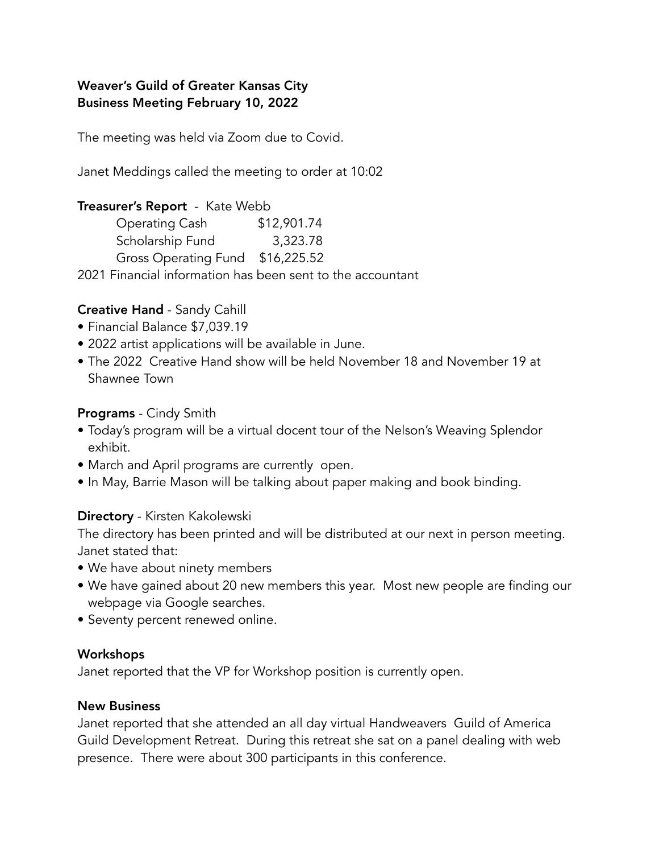## Weaver's Guild of Greater Kansas City Business Meeting February 10, 2022

The meeting was held via Zoom due to Covid.

Janet Meddings called the meeting to order at 10:02

### Treasurer's Report - Kate Webb

| <b>Operating Cash</b>            | \$12,901.74 |
|----------------------------------|-------------|
| Scholarship Fund                 | 3,323.78    |
| Gross Operating Fund \$16,225.52 |             |

2021 Financial information has been sent to the accountant

# Creative Hand - Sandy Cahill

- Financial Balance \$7,039.19
- 2022 artist applications will be available in June.
- The 2022 Creative Hand show will be held November 18 and November 19 at Shawnee Town

## Programs - Cindy Smith

- Today's program will be a virtual docent tour of the Nelson's Weaving Splendor exhibit.
- March and April programs are currently open.
- In May, Barrie Mason will be talking about paper making and book binding.

## Directory - Kirsten Kakolewski

The directory has been printed and will be distributed at our next in person meeting. Janet stated that:

- We have about ninety members
- We have gained about 20 new members this year. Most new people are finding our webpage via Google searches.
- Seventy percent renewed online.

#### Workshops

Janet reported that the VP for Workshop position is currently open.

#### New Business

Janet reported that she attended an all day virtual Handweavers Guild of America Guild Development Retreat. During this retreat she sat on a panel dealing with web presence. There were about 300 participants in this conference.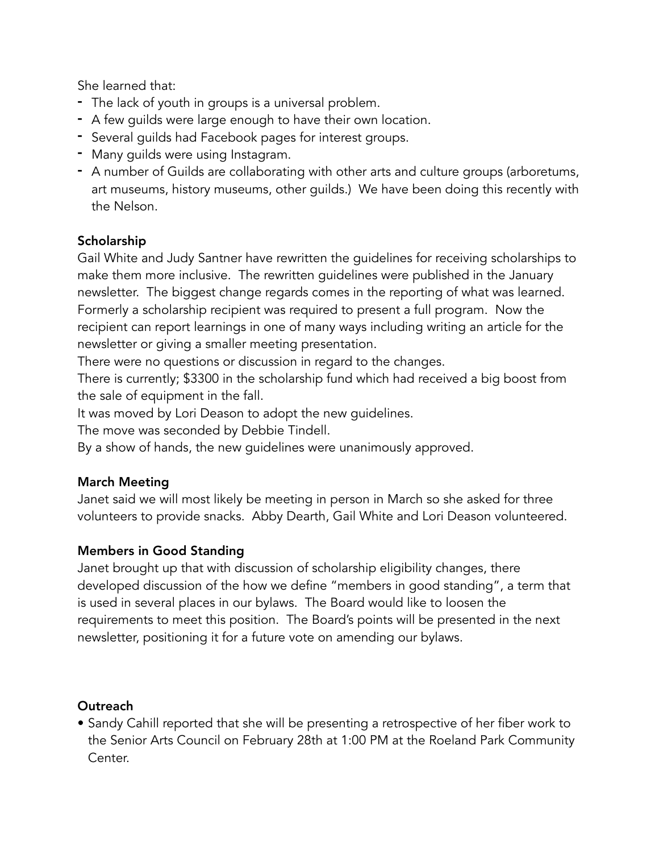She learned that:

- The lack of youth in groups is a universal problem.
- A few guilds were large enough to have their own location.
- Several guilds had Facebook pages for interest groups.
- Many guilds were using Instagram.
- A number of Guilds are collaborating with other arts and culture groups (arboretums, art museums, history museums, other guilds.) We have been doing this recently with the Nelson.

# Scholarship

Gail White and Judy Santner have rewritten the guidelines for receiving scholarships to make them more inclusive. The rewritten guidelines were published in the January newsletter. The biggest change regards comes in the reporting of what was learned. Formerly a scholarship recipient was required to present a full program. Now the recipient can report learnings in one of many ways including writing an article for the newsletter or giving a smaller meeting presentation.

There were no questions or discussion in regard to the changes.

There is currently; \$3300 in the scholarship fund which had received a big boost from the sale of equipment in the fall.

It was moved by Lori Deason to adopt the new guidelines.

The move was seconded by Debbie Tindell.

By a show of hands, the new guidelines were unanimously approved.

## March Meeting

Janet said we will most likely be meeting in person in March so she asked for three volunteers to provide snacks. Abby Dearth, Gail White and Lori Deason volunteered.

## Members in Good Standing

Janet brought up that with discussion of scholarship eligibility changes, there developed discussion of the how we define "members in good standing", a term that is used in several places in our bylaws. The Board would like to loosen the requirements to meet this position. The Board's points will be presented in the next newsletter, positioning it for a future vote on amending our bylaws.

## Outreach

• Sandy Cahill reported that she will be presenting a retrospective of her fiber work to the Senior Arts Council on February 28th at 1:00 PM at the Roeland Park Community Center.